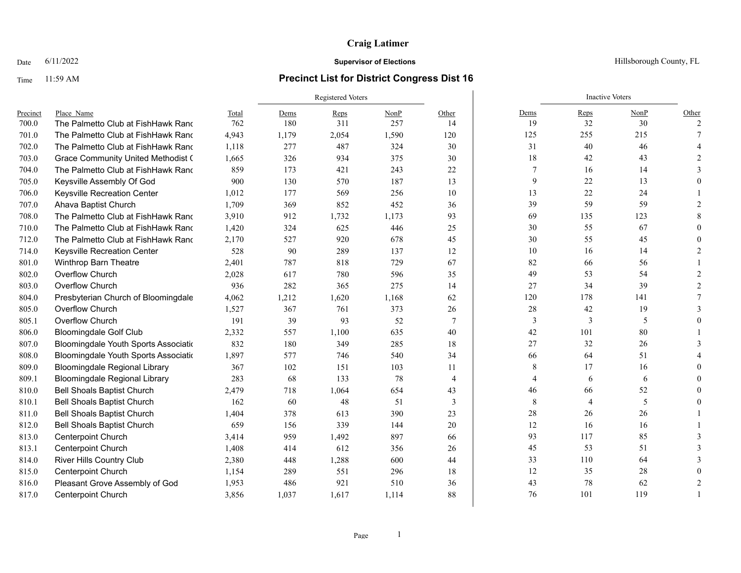### Time 11:59 AM **Precinct List for District Congress Dist 16**

|          |                                           |       | <b>Registered Voters</b> |       |       |                |                | <b>Inactive Voters</b> |      |               |
|----------|-------------------------------------------|-------|--------------------------|-------|-------|----------------|----------------|------------------------|------|---------------|
| Precinct | Place Name                                | Total | Dems                     | Reps  | NonP  | Other          | Dems           | Reps                   | NonP | Other         |
| 700.0    | The Palmetto Club at FishHawk Rand        | 762   | 180                      | 311   | 257   | 14             | 19             | 32                     | 30   | 2             |
| 701.0    | The Palmetto Club at FishHawk Rand        | 4,943 | 1,179                    | 2,054 | 1,590 | 120            | 125            | 255                    | 215  |               |
| 702.0    | The Palmetto Club at FishHawk Rand        | 1,118 | 277                      | 487   | 324   | 30             | 31             | 40                     | 46   |               |
| 703.0    | <b>Grace Community United Methodist (</b> | 1,665 | 326                      | 934   | 375   | 30             | 18             | 42                     | 43   |               |
| 704.0    | The Palmetto Club at FishHawk Rand        | 859   | 173                      | 421   | 243   | 22             | 7              | 16                     | 14   |               |
| 705.0    | Keysville Assembly Of God                 | 900   | 130                      | 570   | 187   | 13             | 9              | 22                     | 13   |               |
| 706.0    | Keysville Recreation Center               | 1,012 | 177                      | 569   | 256   | 10             | 13             | 22                     | 24   |               |
| 707.0    | Ahava Baptist Church                      | 1,709 | 369                      | 852   | 452   | 36             | 39             | 59                     | 59   |               |
| 708.0    | The Palmetto Club at FishHawk Rand        | 3,910 | 912                      | 1,732 | 1,173 | 93             | 69             | 135                    | 123  |               |
| 710.0    | The Palmetto Club at FishHawk Rand        | 1,420 | 324                      | 625   | 446   | 25             | 30             | 55                     | 67   |               |
| 712.0    | The Palmetto Club at FishHawk Rand        | 2,170 | 527                      | 920   | 678   | 45             | 30             | 55                     | 45   |               |
| 714.0    | Keysville Recreation Center               | 528   | 90                       | 289   | 137   | 12             | 10             | 16                     | 14   |               |
| 801.0    | Winthrop Barn Theatre                     | 2,401 | 787                      | 818   | 729   | 67             | 82             | 66                     | 56   |               |
| 802.0    | Overflow Church                           | 2,028 | 617                      | 780   | 596   | 35             | 49             | 53                     | 54   |               |
| 803.0    | Overflow Church                           | 936   | 282                      | 365   | 275   | 14             | 27             | 34                     | 39   | $\mathcal{D}$ |
| 804.0    | Presbyterian Church of Bloomingdale       | 4,062 | 1,212                    | 1,620 | 1,168 | 62             | 120            | 178                    | 141  |               |
| 805.0    | Overflow Church                           | 1,527 | 367                      | 761   | 373   | 26             | $28\,$         | 42                     | 19   |               |
| 805.1    | Overflow Church                           | 191   | 39                       | 93    | 52    | $\tau$         | 3              | 3                      | 5    |               |
| 806.0    | <b>Bloomingdale Golf Club</b>             | 2,332 | 557                      | 1,100 | 635   | 40             | 42             | 101                    | 80   |               |
| 807.0    | Bloomingdale Youth Sports Associatio      | 832   | 180                      | 349   | 285   | 18             | 27             | 32                     | 26   |               |
| 808.0    | Bloomingdale Youth Sports Associatio      | 1,897 | 577                      | 746   | 540   | 34             | 66             | 64                     | 51   |               |
| 809.0    | <b>Bloomingdale Regional Library</b>      | 367   | 102                      | 151   | 103   | 11             | 8              | 17                     | 16   |               |
| 809.1    | <b>Bloomingdale Regional Library</b>      | 283   | 68                       | 133   | 78    | $\overline{4}$ | $\overline{4}$ | 6                      | 6    |               |
| 810.0    | <b>Bell Shoals Baptist Church</b>         | 2,479 | 718                      | 1,064 | 654   | 43             | 46             | 66                     | 52   |               |
| 810.1    | <b>Bell Shoals Baptist Church</b>         | 162   | 60                       | 48    | 51    | 3              | $\,$ 8 $\,$    | $\overline{4}$         | 5    |               |
| 811.0    | <b>Bell Shoals Baptist Church</b>         | 1,404 | 378                      | 613   | 390   | 23             | 28             | 26                     | 26   |               |
| 812.0    | <b>Bell Shoals Baptist Church</b>         | 659   | 156                      | 339   | 144   | 20             | 12             | 16                     | 16   |               |
| 813.0    | <b>Centerpoint Church</b>                 | 3,414 | 959                      | 1,492 | 897   | 66             | 93             | 117                    | 85   |               |
| 813.1    | <b>Centerpoint Church</b>                 | 1,408 | 414                      | 612   | 356   | 26             | 45             | 53                     | 51   |               |
| 814.0    | <b>River Hills Country Club</b>           | 2,380 | 448                      | 1,288 | 600   | 44             | 33             | 110                    | 64   |               |
| 815.0    | <b>Centerpoint Church</b>                 | 1,154 | 289                      | 551   | 296   | 18             | 12             | 35                     | 28   |               |
| 816.0    | Pleasant Grove Assembly of God            | 1,953 | 486                      | 921   | 510   | 36             | 43             | 78                     | 62   |               |
| 817.0    | <b>Centerpoint Church</b>                 | 3,856 | 1,037                    | 1,617 | 1,114 | 88             | 76             | 101                    | 119  |               |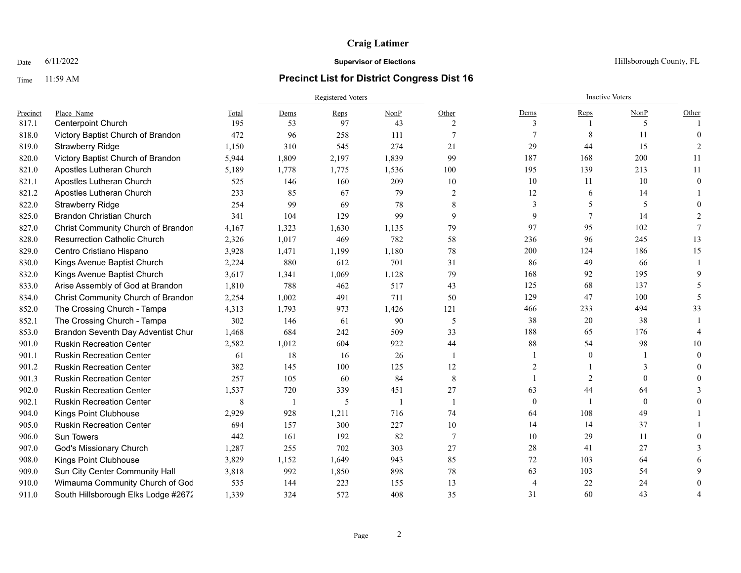### Time 11:59 AM **Precinct List for District Congress Dist 16**

|          |                                     |       | Registered Voters        |       |       |                 |                | <b>Inactive Voters</b> |              |          |
|----------|-------------------------------------|-------|--------------------------|-------|-------|-----------------|----------------|------------------------|--------------|----------|
| Precinct | Place Name                          | Total | Dems                     | Reps  | NonP  | Other           | Dems           | Reps                   | NonP         | Other    |
| 817.1    | <b>Centerpoint Church</b>           | 195   | 53                       | 97    | 43    | 2               | 3              |                        | 5            |          |
| 818.0    | Victory Baptist Church of Brandon   | 472   | 96                       | 258   | 111   | $7\phantom{.0}$ |                | 8                      | 11           | $\Omega$ |
| 819.0    | <b>Strawberry Ridge</b>             | 1,150 | 310                      | 545   | 274   | 21              | 29             | 44                     | 15           |          |
| 820.0    | Victory Baptist Church of Brandon   | 5,944 | 1,809                    | 2,197 | 1,839 | 99              | 187            | 168                    | 200          | 11       |
| 821.0    | Apostles Lutheran Church            | 5,189 | 1,778                    | 1,775 | 1,536 | 100             | 195            | 139                    | 213          | 11       |
| 821.1    | Apostles Lutheran Church            | 525   | 146                      | 160   | 209   | 10              | 10             | 11                     | 10           | $\Omega$ |
| 821.2    | Apostles Lutheran Church            | 233   | 85                       | 67    | 79    | $\overline{2}$  | 12             | 6                      | 14           |          |
| 822.0    | <b>Strawberry Ridge</b>             | 254   | 99                       | 69    | 78    | 8               | 3              | 5                      | 5            |          |
| 825.0    | <b>Brandon Christian Church</b>     | 341   | 104                      | 129   | 99    | 9               | 9              |                        | 14           |          |
| 827.0    | Christ Community Church of Brandon  | 4,167 | 1,323                    | 1,630 | 1,135 | 79              | 97             | 95                     | 102          |          |
| 828.0    | <b>Resurrection Catholic Church</b> | 2,326 | 1,017                    | 469   | 782   | 58              | 236            | 96                     | 245          | 13       |
| 829.0    | Centro Cristiano Hispano            | 3,928 | 1,471                    | 1,199 | 1,180 | 78              | 200            | 124                    | 186          | 15       |
| 830.0    | Kings Avenue Baptist Church         | 2,224 | 880                      | 612   | 701   | 31              | 86             | 49                     | 66           |          |
| 832.0    | Kings Avenue Baptist Church         | 3,617 | 1,341                    | 1,069 | 1,128 | 79              | 168            | 92                     | 195          |          |
| 833.0    | Arise Assembly of God at Brandon    | 1,810 | 788                      | 462   | 517   | 43              | 125            | 68                     | 137          |          |
| 834.0    | Christ Community Church of Brandon  | 2,254 | 1,002                    | 491   | 711   | 50              | 129            | 47                     | 100          | -5       |
| 852.0    | The Crossing Church - Tampa         | 4,313 | 1,793                    | 973   | 1,426 | 121             | 466            | 233                    | 494          | 33       |
| 852.1    | The Crossing Church - Tampa         | 302   | 146                      | 61    | 90    | 5               | 38             | 20                     | 38           |          |
| 853.0    | Brandon Seventh Day Adventist Chur  | 1,468 | 684                      | 242   | 509   | 33              | 188            | 65                     | 176          |          |
| 901.0    | <b>Ruskin Recreation Center</b>     | 2,582 | 1,012                    | 604   | 922   | 44              | 88             | 54                     | 98           | 10       |
| 901.1    | <b>Ruskin Recreation Center</b>     | 61    | 18                       | 16    | 26    | $\overline{1}$  |                | $\theta$               |              | $\Omega$ |
| 901.2    | <b>Ruskin Recreation Center</b>     | 382   | 145                      | 100   | 125   | 12              | $\overline{2}$ |                        |              |          |
| 901.3    | <b>Ruskin Recreation Center</b>     | 257   | 105                      | 60    | 84    | 8               |                | 2                      | $\Omega$     |          |
| 902.0    | <b>Ruskin Recreation Center</b>     | 1,537 | 720                      | 339   | 451   | 27              | 63             | 44                     | 64           |          |
| 902.1    | <b>Ruskin Recreation Center</b>     | 8     | $\overline{\phantom{a}}$ | 5     |       | $\overline{1}$  | $\mathbf{0}$   |                        | $\mathbf{0}$ |          |
| 904.0    | Kings Point Clubhouse               | 2,929 | 928                      | 1,211 | 716   | 74              | 64             | 108                    | 49           |          |
| 905.0    | <b>Ruskin Recreation Center</b>     | 694   | 157                      | 300   | 227   | 10              | 14             | 14                     | 37           |          |
| 906.0    | <b>Sun Towers</b>                   | 442   | 161                      | 192   | 82    | $\tau$          | 10             | 29                     | 11           |          |
| 907.0    | God's Missionary Church             | 1,287 | 255                      | 702   | 303   | 27              | $28\,$         | 41                     | 27           |          |
| 908.0    | Kings Point Clubhouse               | 3,829 | 1,152                    | 1,649 | 943   | 85              | 72             | 103                    | 64           |          |
| 909.0    | Sun City Center Community Hall      | 3,818 | 992                      | 1,850 | 898   | 78              | 63             | 103                    | 54           |          |
| 910.0    | Wimauma Community Church of God     | 535   | 144                      | 223   | 155   | 13              | 4              | 22                     | 24           |          |
| 911.0    | South Hillsborough Elks Lodge #2672 | 1,339 | 324                      | 572   | 408   | 35              | 31             | 60                     | 43           |          |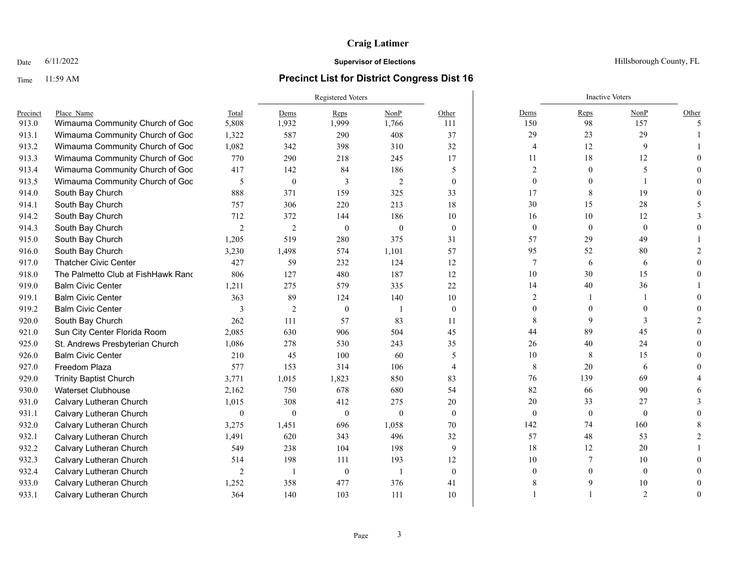### Time 11:59 AM **Precinct List for District Congress Dist 16**

|          |                                    |                  | <b>Registered Voters</b> |              |          |                |                  | <b>Inactive Voters</b> |                |                          |
|----------|------------------------------------|------------------|--------------------------|--------------|----------|----------------|------------------|------------------------|----------------|--------------------------|
| Precinct | Place Name                         | Total            | Dems                     | Reps         | NonP     | Other          | Dems             | Reps                   | NonP           | Other                    |
| 913.0    | Wimauma Community Church of God    | 5,808            | 1,932                    | 1,999        | 1,766    | 111            | 150              | 98                     | 157            | $\overline{\phantom{1}}$ |
| 913.1    | Wimauma Community Church of God    | 1,322            | 587                      | 290          | 408      | 37             | 29               | 23                     | 29             |                          |
| 913.2    | Wimauma Community Church of God    | 1,082            | 342                      | 398          | 310      | 32             | 4                | 12                     | 9              |                          |
| 913.3    | Wimauma Community Church of God    | 770              | 290                      | 218          | 245      | 17             | 11               | 18                     | 12             |                          |
| 913.4    | Wimauma Community Church of God    | 417              | 142                      | 84           | 186      | 5              | $\overline{2}$   | $\theta$               | 5              |                          |
| 913.5    | Wimauma Community Church of God    | 5                | $\mathbf{0}$             | 3            | 2        | $\theta$       | $\theta$         | 0                      |                |                          |
| 914.0    | South Bay Church                   | 888              | 371                      | 159          | 325      | 33             | 17               | 8                      | 19             |                          |
| 914.1    | South Bay Church                   | 757              | 306                      | 220          | 213      | 18             | $30\,$           | 15                     | 28             |                          |
| 914.2    | South Bay Church                   | 712              | 372                      | 144          | 186      | 10             | 16               | 10                     | 12             |                          |
| 914.3    | South Bay Church                   | $\sqrt{2}$       | $\sqrt{2}$               | $\mathbf{0}$ | $\theta$ | $\theta$       | $\boldsymbol{0}$ | $\boldsymbol{0}$       | $\mathbf{0}$   |                          |
| 915.0    | South Bay Church                   | 1,205            | 519                      | 280          | 375      | 31             | 57               | 29                     | 49             |                          |
| 916.0    | South Bay Church                   | 3,230            | 1,498                    | 574          | 1,101    | 57             | 95               | 52                     | 80             |                          |
| 917.0    | <b>Thatcher Civic Center</b>       | 427              | 59                       | 232          | 124      | 12             | $\overline{7}$   | 6                      | 6              |                          |
| 918.0    | The Palmetto Club at FishHawk Rand | 806              | 127                      | 480          | 187      | 12             | 10               | 30                     | 15             |                          |
| 919.0    | <b>Balm Civic Center</b>           | 1,211            | 275                      | 579          | 335      | 22             | 14               | 40                     | 36             |                          |
| 919.1    | <b>Balm Civic Center</b>           | 363              | 89                       | 124          | 140      | 10             | $\overline{2}$   |                        |                |                          |
| 919.2    | <b>Balm Civic Center</b>           | $\mathbf{3}$     | $\mathfrak{2}$           | $\theta$     |          | $\theta$       | $\Omega$         |                        | $\Omega$       |                          |
| 920.0    | South Bay Church                   | 262              | 111                      | 57           | 83       | 11             | 8                | 9                      |                |                          |
| 921.0    | Sun City Center Florida Room       | 2,085            | 630                      | 906          | 504      | 45             | 44               | 89                     | 45             |                          |
| 925.0    | St. Andrews Presbyterian Church    | 1,086            | 278                      | 530          | 243      | 35             | 26               | 40                     | 24             |                          |
| 926.0    | <b>Balm Civic Center</b>           | 210              | 45                       | 100          | 60       | 5              | 10               | 8                      | 15             |                          |
| 927.0    | Freedom Plaza                      | 577              | 153                      | 314          | 106      | $\overline{4}$ | 8                | 20                     | 6              |                          |
| 929.0    | <b>Trinity Baptist Church</b>      | 3,771            | 1,015                    | 1,823        | 850      | 83             | 76               | 139                    | 69             |                          |
| 930.0    | <b>Waterset Clubhouse</b>          | 2,162            | 750                      | 678          | 680      | 54             | 82               | 66                     | 90             |                          |
| 931.0    | Calvary Lutheran Church            | 1,015            | 308                      | 412          | 275      | 20             | $20\,$           | 33                     | 27             |                          |
| 931.1    | Calvary Lutheran Church            | $\boldsymbol{0}$ | $\mathbf{0}$             | $\mathbf{0}$ | $\theta$ | $\mathbf{0}$   | $\boldsymbol{0}$ | $\boldsymbol{0}$       | $\mathbf{0}$   |                          |
| 932.0    | Calvary Lutheran Church            | 3,275            | 1,451                    | 696          | 1,058    | 70             | 142              | 74                     | 160            |                          |
| 932.1    | Calvary Lutheran Church            | 1,491            | 620                      | 343          | 496      | 32             | 57               | 48                     | 53             |                          |
| 932.2    | Calvary Lutheran Church            | 549              | 238                      | 104          | 198      | 9              | 18               | 12                     | 20             |                          |
| 932.3    | Calvary Lutheran Church            | 514              | 198                      | 111          | 193      | 12             | 10               |                        | 10             |                          |
| 932.4    | Calvary Lutheran Church            | $\overline{c}$   | $\overline{\phantom{a}}$ | $\mathbf{0}$ | -1       | $\mathbf{0}$   | $\theta$         |                        | $\mathbf{0}$   |                          |
| 933.0    | Calvary Lutheran Church            | 1,252            | 358                      | 477          | 376      | 41             |                  |                        | 10             |                          |
| 933.1    | Calvary Lutheran Church            | 364              | 140                      | 103          | 111      | 10             |                  |                        | $\overline{2}$ |                          |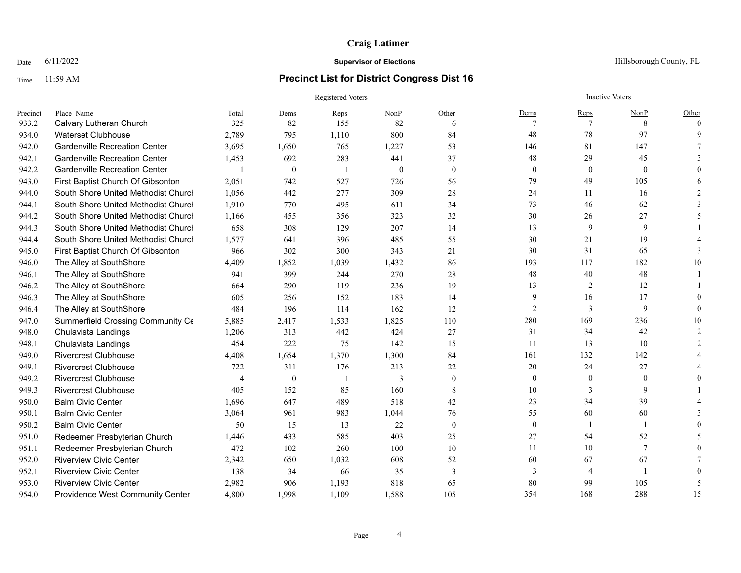### Time 11:59 AM **Precinct List for District Congress Dist 16**

|          |                                      |                |                  | <b>Registered Voters</b> |          |              |                | <b>Inactive Voters</b> |              |          |
|----------|--------------------------------------|----------------|------------------|--------------------------|----------|--------------|----------------|------------------------|--------------|----------|
| Precinct | Place Name                           | Total          | Dems             | Reps                     | NonP     | Other        | Dems           | Reps                   | NonP         | Other    |
| 933.2    | Calvary Lutheran Church              | 325            | 82               | 155                      | 82       | 6            | 7              | 7                      | 8            | $\Omega$ |
| 934.0    | <b>Waterset Clubhouse</b>            | 2,789          | 795              | 1,110                    | 800      | 84           | 48             | 78                     | 97           |          |
| 942.0    | <b>Gardenville Recreation Center</b> | 3,695          | 1,650            | 765                      | 1,227    | 53           | 146            | 81                     | 147          |          |
| 942.1    | <b>Gardenville Recreation Center</b> | 1,453          | 692              | 283                      | 441      | 37           | 48             | 29                     | 45           |          |
| 942.2    | <b>Gardenville Recreation Center</b> | $\mathbf{1}$   | $\boldsymbol{0}$ | -1                       | $\theta$ | $\mathbf{0}$ | $\mathbf{0}$   | $\boldsymbol{0}$       | $\mathbf{0}$ |          |
| 943.0    | First Baptist Church Of Gibsonton    | 2,051          | 742              | 527                      | 726      | 56           | 79             | 49                     | 105          |          |
| 944.0    | South Shore United Methodist Churcl  | 1,056          | 442              | 277                      | 309      | 28           | 24             | 11                     | 16           |          |
| 944.1    | South Shore United Methodist Churcl  | 1,910          | 770              | 495                      | 611      | 34           | 73             | 46                     | 62           |          |
| 944.2    | South Shore United Methodist Church  | 1,166          | 455              | 356                      | 323      | 32           | $30\,$         | 26                     | 27           |          |
| 944.3    | South Shore United Methodist Churcl  | 658            | 308              | 129                      | 207      | 14           | 13             | 9                      | 9            |          |
| 944.4    | South Shore United Methodist Churcl  | 1,577          | 641              | 396                      | 485      | 55           | 30             | 21                     | 19           |          |
| 945.0    | First Baptist Church Of Gibsonton    | 966            | 302              | 300                      | 343      | 21           | 30             | 31                     | 65           |          |
| 946.0    | The Alley at SouthShore              | 4,409          | 1,852            | 1,039                    | 1,432    | 86           | 193            | 117                    | 182          | 10       |
| 946.1    | The Alley at SouthShore              | 941            | 399              | 244                      | 270      | 28           | 48             | 40                     | 48           |          |
| 946.2    | The Alley at SouthShore              | 664            | 290              | 119                      | 236      | 19           | 13             | $\overline{2}$         | 12           |          |
| 946.3    | The Alley at SouthShore              | 605            | 256              | 152                      | 183      | 14           | 9              | 16                     | 17           |          |
| 946.4    | The Alley at SouthShore              | 484            | 196              | 114                      | 162      | 12           | $\overline{2}$ | 3                      | 9            |          |
| 947.0    | Summerfield Crossing Community Ce    | 5,885          | 2,417            | 1,533                    | 1,825    | 110          | 280            | 169                    | 236          | 10       |
| 948.0    | Chulavista Landings                  | 1,206          | 313              | 442                      | 424      | 27           | 31             | 34                     | 42           |          |
| 948.1    | Chulavista Landings                  | 454            | 222              | 75                       | 142      | 15           | 11             | 13                     | 10           |          |
| 949.0    | <b>Rivercrest Clubhouse</b>          | 4,408          | 1,654            | 1,370                    | 1,300    | 84           | 161            | 132                    | 142          |          |
| 949.1    | <b>Rivercrest Clubhouse</b>          | 722            | 311              | 176                      | 213      | 22           | 20             | 24                     | 27           |          |
| 949.2    | <b>Rivercrest Clubhouse</b>          | $\overline{4}$ | $\mathbf{0}$     |                          | 3        | $\theta$     | $\mathbf{0}$   | $\theta$               | $\theta$     |          |
| 949.3    | <b>Rivercrest Clubhouse</b>          | 405            | 152              | 85                       | 160      | 8            | 10             | 3                      | 9            |          |
| 950.0    | <b>Balm Civic Center</b>             | 1,696          | 647              | 489                      | 518      | 42           | 23             | 34                     | 39           |          |
| 950.1    | <b>Balm Civic Center</b>             | 3,064          | 961              | 983                      | 1,044    | 76           | 55             | 60                     | 60           |          |
| 950.2    | <b>Balm Civic Center</b>             | 50             | 15               | 13                       | 22       | $\theta$     | $\mathbf{0}$   |                        |              |          |
| 951.0    | Redeemer Presbyterian Church         | 1,446          | 433              | 585                      | 403      | 25           | $27\,$         | 54                     | 52           |          |
| 951.1    | Redeemer Presbyterian Church         | 472            | 102              | 260                      | 100      | 10           | 11             | 10                     | 7            |          |
| 952.0    | <b>Riverview Civic Center</b>        | 2.342          | 650              | 1,032                    | 608      | 52           | 60             | 67                     | 67           |          |
| 952.1    | <b>Riverview Civic Center</b>        | 138            | 34               | 66                       | 35       | 3            | 3              | $\overline{4}$         |              |          |
| 953.0    | <b>Riverview Civic Center</b>        | 2,982          | 906              | 1,193                    | 818      | 65           | 80             | 99                     | 105          |          |
| 954.0    | Providence West Community Center     | 4,800          | 1,998            | 1,109                    | 1,588    | 105          | 354            | 168                    | 288          | 15       |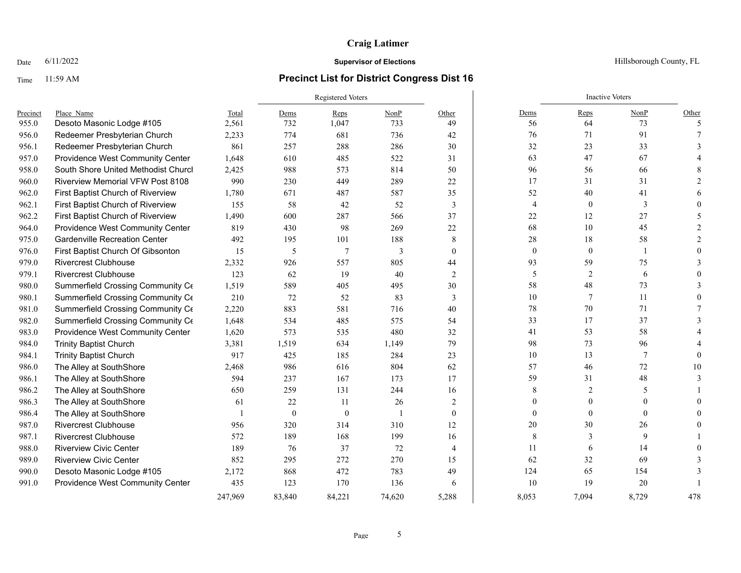### Time 11:59 AM **Precinct List for District Congress Dist 16**

|          |                                         |                | <b>Registered Voters</b> |                |                |                |                | <b>Inactive Voters</b> |                |          |
|----------|-----------------------------------------|----------------|--------------------------|----------------|----------------|----------------|----------------|------------------------|----------------|----------|
| Precinct | Place Name                              | Total          | Dems                     | Reps           | NonP           | Other          | Dems           | Reps                   | NonP           | Other    |
| 955.0    | Desoto Masonic Lodge #105               | 2,561          | 732                      | 1,047          | 733            | 49             | 56             | 64                     | 73             | -5       |
| 956.0    | Redeemer Presbyterian Church            | 2.233          | 774                      | 681            | 736            | 42             | 76             | 71                     | 91             |          |
| 956.1    | Redeemer Presbyterian Church            | 861            | 257                      | 288            | 286            | 30             | 32             | 23                     | 33             |          |
| 957.0    | Providence West Community Center        | 1,648          | 610                      | 485            | 522            | 31             | 63             | 47                     | 67             |          |
| 958.0    | South Shore United Methodist Church     | 2,425          | 988                      | 573            | 814            | 50             | 96             | 56                     | 66             |          |
| 960.0    | <b>Riverview Memorial VFW Post 8108</b> | 990            | 230                      | 449            | 289            | 22             | 17             | 31                     | 31             |          |
| 962.0    | First Baptist Church of Riverview       | 1,780          | 671                      | 487            | 587            | 35             | 52             | 40                     | 41             |          |
| 962.1    | First Baptist Church of Riverview       | 155            | 58                       | 42             | 52             | 3              | $\overline{4}$ | $\boldsymbol{0}$       | 3              |          |
| 962.2    | First Baptist Church of Riverview       | 1,490          | 600                      | 287            | 566            | 37             | 22             | 12                     | 27             |          |
| 964.0    | Providence West Community Center        | 819            | 430                      | 98             | 269            | 22             | 68             | 10                     | 45             |          |
| 975.0    | <b>Gardenville Recreation Center</b>    | 492            | 195                      | 101            | 188            | 8              | $28\,$         | 18                     | 58             |          |
| 976.0    | First Baptist Church Of Gibsonton       | 15             | 5                        | $\overline{7}$ | 3              | $\mathbf{0}$   | $\mathbf{0}$   | $\mathbf{0}$           | 1              |          |
| 979.0    | <b>Rivercrest Clubhouse</b>             | 2,332          | 926                      | 557            | 805            | 44             | 93             | 59                     | 75             |          |
| 979.1    | <b>Rivercrest Clubhouse</b>             | 123            | 62                       | 19             | 40             | 2              | 5              | $\overline{2}$         | 6              |          |
| 980.0    | Summerfield Crossing Community Ce       | 1,519          | 589                      | 405            | 495            | 30             | 58             | 48                     | 73             |          |
| 980.1    | Summerfield Crossing Community Ce       | 210            | 72                       | 52             | 83             | 3              | 10             | 7                      | 11             |          |
| 981.0    | Summerfield Crossing Community Ce       | 2,220          | 883                      | 581            | 716            | 40             | 78             | 70                     | 71             |          |
| 982.0    | Summerfield Crossing Community Ce       | 1,648          | 534                      | 485            | 575            | 54             | 33             | 17                     | 37             |          |
| 983.0    | Providence West Community Center        | 1,620          | 573                      | 535            | 480            | 32             | 41             | 53                     | 58             |          |
| 984.0    | <b>Trinity Baptist Church</b>           | 3,381          | 1,519                    | 634            | 1,149          | 79             | 98             | 73                     | 96             |          |
| 984.1    | <b>Trinity Baptist Church</b>           | 917            | 425                      | 185            | 284            | 23             | $10\,$         | 13                     | $\overline{7}$ | $\Omega$ |
| 986.0    | The Alley at SouthShore                 | 2,468          | 986                      | 616            | 804            | 62             | 57             | 46                     | 72             | 10       |
| 986.1    | The Alley at SouthShore                 | 594            | 237                      | 167            | 173            | 17             | 59             | 31                     | 48             |          |
| 986.2    | The Alley at SouthShore                 | 650            | 259                      | 131            | 244            | 16             | 8              | $\overline{2}$         | 5              |          |
| 986.3    | The Alley at SouthShore                 | 61             | 22                       | 11             | 26             | 2              | $\theta$       | $\Omega$               | $\theta$       |          |
| 986.4    | The Alley at SouthShore                 | $\overline{1}$ | $\theta$                 | $\theta$       | $\overline{1}$ | $\theta$       | $\theta$       | $\theta$               | $\theta$       |          |
| 987.0    | <b>Rivercrest Clubhouse</b>             | 956            | 320                      | 314            | 310            | 12             | 20             | 30                     | 26             |          |
| 987.1    | <b>Rivercrest Clubhouse</b>             | 572            | 189                      | 168            | 199            | 16             | 8              | 3                      | 9              |          |
| 988.0    | <b>Riverview Civic Center</b>           | 189            | 76                       | 37             | 72             | $\overline{4}$ | 11             | 6                      | 14             |          |
| 989.0    | <b>Riverview Civic Center</b>           | 852            | 295                      | 272            | 270            | 15             | 62             | 32                     | 69             |          |
| 990.0    | Desoto Masonic Lodge #105               | 2,172          | 868                      | 472            | 783            | 49             | 124            | 65                     | 154            |          |
| 991.0    | Providence West Community Center        | 435            | 123                      | 170            | 136            | 6              | 10             | 19                     | 20             |          |
|          |                                         | 247,969        | 83,840                   | 84,221         | 74,620         | 5,288          | 8,053          | 7,094                  | 8,729          | 478      |